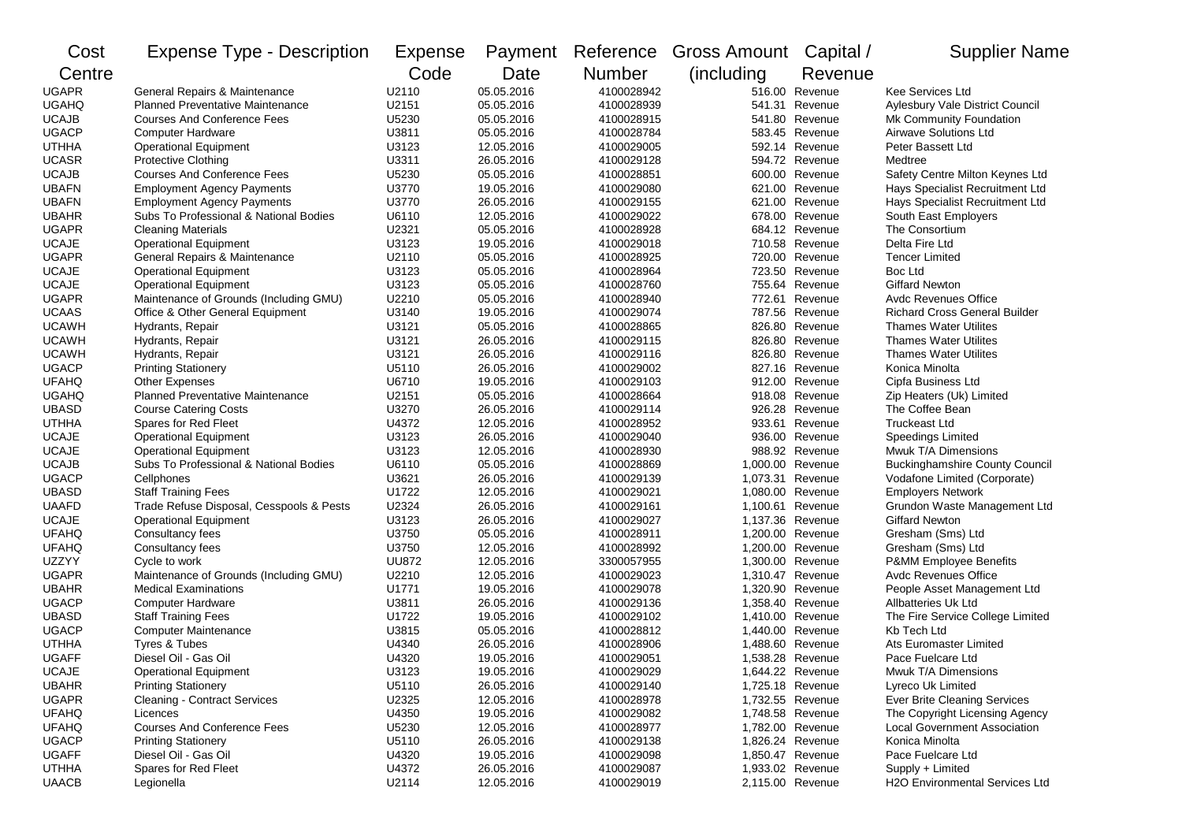| Cost         | <b>Expense Type - Description</b>        | Expense      | Payment    |               | Reference Gross Amount | Capital /        | <b>Supplier Name</b>                  |
|--------------|------------------------------------------|--------------|------------|---------------|------------------------|------------------|---------------------------------------|
| Centre       |                                          | Code         | Date       | <b>Number</b> | (including)            | Revenue          |                                       |
| <b>UGAPR</b> | General Repairs & Maintenance            | U2110        | 05.05.2016 | 4100028942    |                        | 516.00 Revenue   | Kee Services Ltd                      |
| <b>UGAHQ</b> | <b>Planned Preventative Maintenance</b>  | U2151        | 05.05.2016 | 4100028939    |                        | 541.31 Revenue   | Aylesbury Vale District Council       |
| <b>UCAJB</b> | <b>Courses And Conference Fees</b>       | U5230        | 05.05.2016 | 4100028915    |                        | 541.80 Revenue   | Mk Community Foundation               |
| <b>UGACP</b> | <b>Computer Hardware</b>                 | U3811        | 05.05.2016 | 4100028784    |                        | 583.45 Revenue   | <b>Airwave Solutions Ltd</b>          |
| <b>UTHHA</b> | <b>Operational Equipment</b>             | U3123        | 12.05.2016 | 4100029005    |                        | 592.14 Revenue   | Peter Bassett Ltd                     |
| <b>UCASR</b> | <b>Protective Clothing</b>               | U3311        | 26.05.2016 | 4100029128    |                        | 594.72 Revenue   | Medtree                               |
| <b>UCAJB</b> | <b>Courses And Conference Fees</b>       | U5230        | 05.05.2016 | 4100028851    |                        | 600.00 Revenue   | Safety Centre Milton Keynes Ltd       |
| <b>UBAFN</b> | <b>Employment Agency Payments</b>        | U3770        | 19.05.2016 | 4100029080    |                        | 621.00 Revenue   | Hays Specialist Recruitment Ltd       |
| <b>UBAFN</b> | <b>Employment Agency Payments</b>        | U3770        | 26.05.2016 | 4100029155    |                        | 621.00 Revenue   | Hays Specialist Recruitment Ltd       |
| <b>UBAHR</b> | Subs To Professional & National Bodies   | U6110        | 12.05.2016 | 4100029022    |                        | 678.00 Revenue   | South East Employers                  |
| <b>UGAPR</b> | <b>Cleaning Materials</b>                | U2321        | 05.05.2016 | 4100028928    |                        | 684.12 Revenue   | The Consortium                        |
| <b>UCAJE</b> | <b>Operational Equipment</b>             | U3123        | 19.05.2016 | 4100029018    |                        | 710.58 Revenue   | Delta Fire Ltd                        |
| <b>UGAPR</b> | General Repairs & Maintenance            | U2110        | 05.05.2016 | 4100028925    |                        | 720.00 Revenue   | <b>Tencer Limited</b>                 |
| <b>UCAJE</b> | <b>Operational Equipment</b>             | U3123        | 05.05.2016 | 4100028964    |                        | 723.50 Revenue   | Boc Ltd                               |
| <b>UCAJE</b> | <b>Operational Equipment</b>             | U3123        | 05.05.2016 | 4100028760    |                        | 755.64 Revenue   | <b>Giffard Newton</b>                 |
| <b>UGAPR</b> | Maintenance of Grounds (Including GMU)   | U2210        | 05.05.2016 | 4100028940    |                        | 772.61 Revenue   | <b>Avdc Revenues Office</b>           |
| <b>UCAAS</b> | Office & Other General Equipment         | U3140        | 19.05.2016 | 4100029074    |                        | 787.56 Revenue   | <b>Richard Cross General Builder</b>  |
| <b>UCAWH</b> | Hydrants, Repair                         | U3121        | 05.05.2016 | 4100028865    | 826.80                 | Revenue          | <b>Thames Water Utilites</b>          |
| <b>UCAWH</b> | Hydrants, Repair                         | U3121        | 26.05.2016 | 4100029115    |                        | 826.80 Revenue   | <b>Thames Water Utilites</b>          |
| <b>UCAWH</b> | Hydrants, Repair                         | U3121        | 26.05.2016 | 4100029116    |                        | 826.80 Revenue   | <b>Thames Water Utilites</b>          |
| <b>UGACP</b> | <b>Printing Stationery</b>               | U5110        | 26.05.2016 | 4100029002    |                        | 827.16 Revenue   | Konica Minolta                        |
| <b>UFAHQ</b> | <b>Other Expenses</b>                    | U6710        | 19.05.2016 | 4100029103    |                        | 912.00 Revenue   | Cipfa Business Ltd                    |
| <b>UGAHQ</b> | <b>Planned Preventative Maintenance</b>  | U2151        | 05.05.2016 | 4100028664    |                        | 918.08 Revenue   | Zip Heaters (Uk) Limited              |
| <b>UBASD</b> | <b>Course Catering Costs</b>             | U3270        | 26.05.2016 | 4100029114    |                        | 926.28 Revenue   | The Coffee Bean                       |
| <b>UTHHA</b> | Spares for Red Fleet                     | U4372        | 12.05.2016 | 4100028952    |                        | 933.61 Revenue   | <b>Truckeast Ltd</b>                  |
| <b>UCAJE</b> | <b>Operational Equipment</b>             | U3123        | 26.05.2016 | 4100029040    |                        | 936.00 Revenue   | <b>Speedings Limited</b>              |
| <b>UCAJE</b> | <b>Operational Equipment</b>             | U3123        | 12.05.2016 | 4100028930    |                        | 988.92 Revenue   | Mwuk T/A Dimensions                   |
| <b>UCAJB</b> | Subs To Professional & National Bodies   | U6110        | 05.05.2016 | 4100028869    |                        | 1,000.00 Revenue | <b>Buckinghamshire County Council</b> |
| <b>UGACP</b> | Cellphones                               | U3621        | 26.05.2016 | 4100029139    |                        | 1,073.31 Revenue | Vodafone Limited (Corporate)          |
| <b>UBASD</b> | <b>Staff Training Fees</b>               | U1722        | 12.05.2016 | 4100029021    |                        | 1,080.00 Revenue | <b>Employers Network</b>              |
| <b>UAAFD</b> | Trade Refuse Disposal, Cesspools & Pests | U2324        | 26.05.2016 | 4100029161    |                        | 1,100.61 Revenue | Grundon Waste Management Ltd          |
| <b>UCAJE</b> | <b>Operational Equipment</b>             | U3123        | 26.05.2016 | 4100029027    |                        | 1,137.36 Revenue | <b>Giffard Newton</b>                 |
| <b>UFAHQ</b> | Consultancy fees                         | U3750        | 05.05.2016 | 4100028911    |                        | 1,200.00 Revenue | Gresham (Sms) Ltd                     |
| <b>UFAHQ</b> | Consultancy fees                         | U3750        | 12.05.2016 | 4100028992    |                        | 1,200.00 Revenue | Gresham (Sms) Ltd                     |
| UZZYY        | Cycle to work                            | <b>UU872</b> | 12.05.2016 | 3300057955    |                        | 1,300.00 Revenue | P&MM Employee Benefits                |
| <b>UGAPR</b> | Maintenance of Grounds (Including GMU)   | U2210        | 12.05.2016 | 4100029023    |                        | 1,310.47 Revenue | <b>Avdc Revenues Office</b>           |
| <b>UBAHR</b> | <b>Medical Examinations</b>              | U1771        | 19.05.2016 | 4100029078    |                        | 1,320.90 Revenue | People Asset Management Ltd           |
| <b>UGACP</b> | <b>Computer Hardware</b>                 | U3811        | 26.05.2016 | 4100029136    |                        | 1,358.40 Revenue | Allbatteries Uk Ltd                   |
| <b>UBASD</b> | <b>Staff Training Fees</b>               | U1722        | 19.05.2016 | 4100029102    |                        | 1,410.00 Revenue | The Fire Service College Limited      |
| <b>UGACP</b> | <b>Computer Maintenance</b>              | U3815        | 05.05.2016 | 4100028812    |                        | 1,440.00 Revenue | Kb Tech Ltd                           |
| <b>UTHHA</b> | Tyres & Tubes                            | U4340        | 26.05.2016 | 4100028906    |                        | 1,488.60 Revenue | Ats Euromaster Limited                |
| <b>UGAFF</b> | Diesel Oil - Gas Oil                     | U4320        | 19.05.2016 | 4100029051    |                        | 1,538.28 Revenue | Pace Fuelcare Ltd                     |
| UCAJE        | <b>Operational Equipment</b>             | U3123        | 19.05.2016 | 4100029029    |                        | 1,644.22 Revenue | Mwuk T/A Dimensions                   |
| <b>UBAHR</b> | <b>Printing Stationery</b>               | U5110        | 26.05.2016 | 4100029140    |                        | 1,725.18 Revenue | Lyreco Uk Limited                     |
| <b>UGAPR</b> | <b>Cleaning - Contract Services</b>      | U2325        | 12.05.2016 | 4100028978    |                        | 1,732.55 Revenue | <b>Ever Brite Cleaning Services</b>   |
| <b>UFAHQ</b> | Licences                                 | U4350        | 19.05.2016 | 4100029082    |                        | 1,748.58 Revenue | The Copyright Licensing Agency        |
| <b>UFAHQ</b> | <b>Courses And Conference Fees</b>       | U5230        | 12.05.2016 | 4100028977    |                        | 1,782.00 Revenue | <b>Local Government Association</b>   |
| <b>UGACP</b> | <b>Printing Stationery</b>               | U5110        | 26.05.2016 | 4100029138    |                        | 1,826.24 Revenue | Konica Minolta                        |
| <b>UGAFF</b> | Diesel Oil - Gas Oil                     | U4320        | 19.05.2016 | 4100029098    |                        | 1,850.47 Revenue | Pace Fuelcare Ltd                     |
| <b>UTHHA</b> | Spares for Red Fleet                     | U4372        | 26.05.2016 | 4100029087    |                        | 1,933.02 Revenue | Supply + Limited                      |
| <b>UAACB</b> | Legionella                               | U2114        | 12.05.2016 | 4100029019    |                        | 2,115.00 Revenue | H2O Environmental Services Ltd        |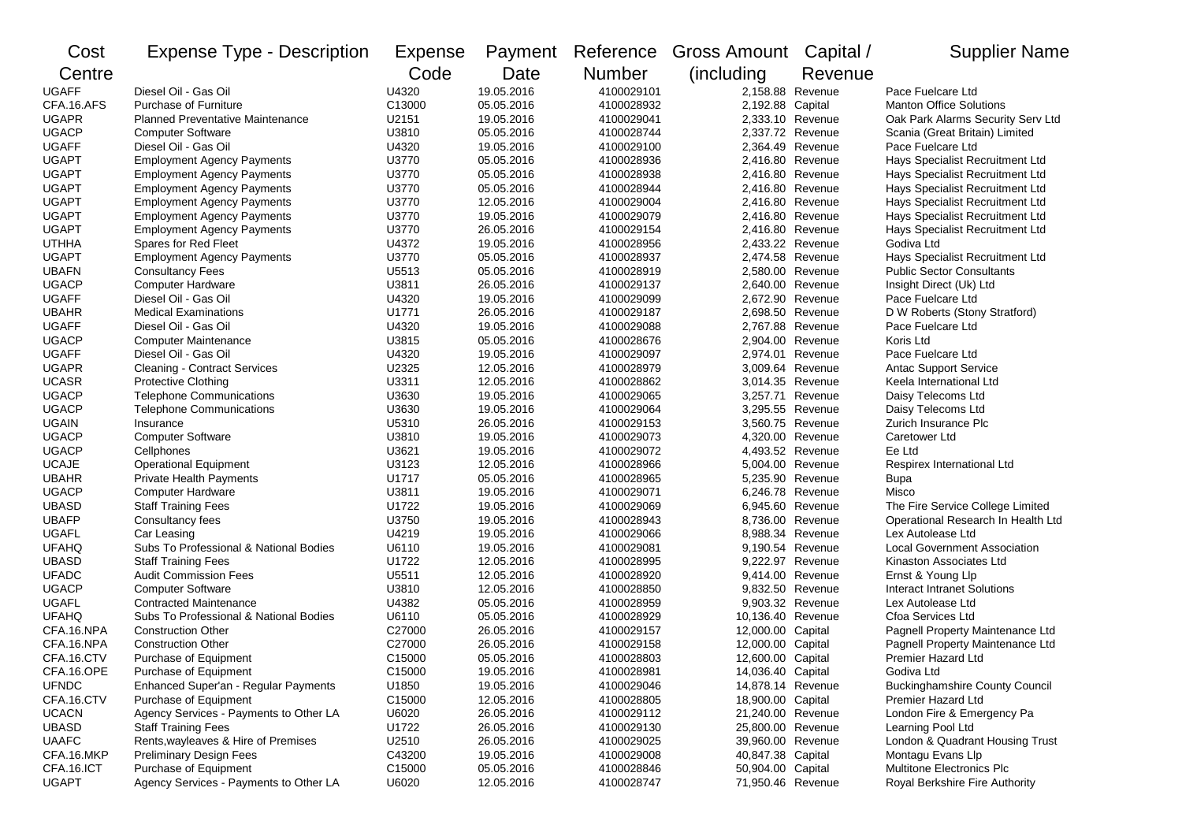| Cost         | <b>Expense Type - Description</b>       | Expense |            | Payment Reference | Gross Amount Capital / |         | <b>Supplier Name</b>                  |
|--------------|-----------------------------------------|---------|------------|-------------------|------------------------|---------|---------------------------------------|
| Centre       |                                         | Code    | Date       | Number            | (including)            | Revenue |                                       |
| <b>UGAFF</b> | Diesel Oil - Gas Oil                    | U4320   | 19.05.2016 | 4100029101        | 2.158.88 Revenue       |         | Pace Fuelcare Ltd                     |
| CFA.16.AFS   | <b>Purchase of Furniture</b>            | C13000  | 05.05.2016 | 4100028932        | 2,192.88 Capital       |         | <b>Manton Office Solutions</b>        |
| <b>UGAPR</b> | <b>Planned Preventative Maintenance</b> | U2151   | 19.05.2016 | 4100029041        | 2,333.10 Revenue       |         | Oak Park Alarms Security Serv Ltd     |
| <b>UGACP</b> | <b>Computer Software</b>                | U3810   | 05.05.2016 | 4100028744        | 2,337.72 Revenue       |         | Scania (Great Britain) Limited        |
| <b>UGAFF</b> | Diesel Oil - Gas Oil                    | U4320   | 19.05.2016 | 4100029100        | 2,364.49 Revenue       |         | Pace Fuelcare Ltd                     |
| <b>UGAPT</b> | <b>Employment Agency Payments</b>       | U3770   | 05.05.2016 | 4100028936        | 2,416.80 Revenue       |         | Hays Specialist Recruitment Ltd       |
| <b>UGAPT</b> | <b>Employment Agency Payments</b>       | U3770   | 05.05.2016 | 4100028938        | 2,416.80 Revenue       |         | Hays Specialist Recruitment Ltd       |
| <b>UGAPT</b> | <b>Employment Agency Payments</b>       | U3770   | 05.05.2016 | 4100028944        | 2,416.80 Revenue       |         | Hays Specialist Recruitment Ltd       |
| <b>UGAPT</b> | <b>Employment Agency Payments</b>       | U3770   | 12.05.2016 | 4100029004        | 2,416.80 Revenue       |         | Hays Specialist Recruitment Ltd       |
| <b>UGAPT</b> | <b>Employment Agency Payments</b>       | U3770   | 19.05.2016 | 4100029079        | 2,416.80 Revenue       |         | Hays Specialist Recruitment Ltd       |
| <b>UGAPT</b> | <b>Employment Agency Payments</b>       | U3770   | 26.05.2016 | 4100029154        | 2,416.80 Revenue       |         | Hays Specialist Recruitment Ltd       |
| <b>UTHHA</b> | Spares for Red Fleet                    | U4372   | 19.05.2016 | 4100028956        | 2,433.22 Revenue       |         | Godiva Ltd                            |
| <b>UGAPT</b> | <b>Employment Agency Payments</b>       | U3770   | 05.05.2016 | 4100028937        | 2,474.58 Revenue       |         | Hays Specialist Recruitment Ltd       |
| <b>UBAFN</b> | <b>Consultancy Fees</b>                 | U5513   | 05.05.2016 | 4100028919        | 2,580.00 Revenue       |         | <b>Public Sector Consultants</b>      |
| <b>UGACP</b> | <b>Computer Hardware</b>                | U3811   | 26.05.2016 | 4100029137        | 2,640.00 Revenue       |         | Insight Direct (Uk) Ltd               |
| <b>UGAFF</b> | Diesel Oil - Gas Oil                    | U4320   | 19.05.2016 | 4100029099        | 2,672.90 Revenue       |         | Pace Fuelcare Ltd                     |
| <b>UBAHR</b> | <b>Medical Examinations</b>             | U1771   | 26.05.2016 | 4100029187        | 2,698.50 Revenue       |         | D W Roberts (Stony Stratford)         |
| <b>UGAFF</b> | Diesel Oil - Gas Oil                    | U4320   | 19.05.2016 | 4100029088        | 2,767.88 Revenue       |         | Pace Fuelcare Ltd                     |
| <b>UGACP</b> | <b>Computer Maintenance</b>             | U3815   | 05.05.2016 | 4100028676        | 2,904.00 Revenue       |         | Koris Ltd                             |
| <b>UGAFF</b> | Diesel Oil - Gas Oil                    | U4320   | 19.05.2016 | 4100029097        | 2,974.01 Revenue       |         | Pace Fuelcare Ltd                     |
| <b>UGAPR</b> | <b>Cleaning - Contract Services</b>     | U2325   | 12.05.2016 | 4100028979        | 3,009.64 Revenue       |         | <b>Antac Support Service</b>          |
| <b>UCASR</b> | Protective Clothing                     | U3311   | 12.05.2016 | 4100028862        | 3,014.35 Revenue       |         | Keela International Ltd               |
| <b>UGACP</b> | <b>Telephone Communications</b>         | U3630   | 19.05.2016 | 4100029065        | 3,257.71 Revenue       |         | Daisy Telecoms Ltd                    |
| <b>UGACP</b> | <b>Telephone Communications</b>         | U3630   | 19.05.2016 | 4100029064        | 3,295.55 Revenue       |         | Daisy Telecoms Ltd                    |
| <b>UGAIN</b> | Insurance                               | U5310   | 26.05.2016 | 4100029153        | 3,560.75 Revenue       |         | Zurich Insurance Plc                  |
| <b>UGACP</b> | <b>Computer Software</b>                | U3810   | 19.05.2016 | 4100029073        | 4,320.00 Revenue       |         | Caretower Ltd                         |
| <b>UGACP</b> | Cellphones                              | U3621   | 19.05.2016 | 4100029072        | 4,493.52 Revenue       |         | Ee Ltd                                |
| <b>UCAJE</b> | <b>Operational Equipment</b>            | U3123   | 12.05.2016 | 4100028966        | 5,004.00 Revenue       |         | Respirex International Ltd            |
| <b>UBAHR</b> | Private Health Payments                 | U1717   | 05.05.2016 | 4100028965        | 5,235.90 Revenue       |         | Bupa                                  |
| <b>UGACP</b> | <b>Computer Hardware</b>                | U3811   | 19.05.2016 | 4100029071        | 6,246.78 Revenue       |         | Misco                                 |
| <b>UBASD</b> | <b>Staff Training Fees</b>              | U1722   | 19.05.2016 | 4100029069        | 6,945.60 Revenue       |         | The Fire Service College Limited      |
| <b>UBAFP</b> | Consultancy fees                        | U3750   | 19.05.2016 | 4100028943        | 8,736.00 Revenue       |         | Operational Research In Health Ltd    |
| <b>UGAFL</b> | Car Leasing                             | U4219   | 19.05.2016 | 4100029066        | 8,988.34 Revenue       |         | Lex Autolease Ltd                     |
| <b>UFAHQ</b> | Subs To Professional & National Bodies  | U6110   | 19.05.2016 | 4100029081        | 9,190.54 Revenue       |         | <b>Local Government Association</b>   |
| <b>UBASD</b> | <b>Staff Training Fees</b>              | U1722   | 12.05.2016 | 4100028995        | 9,222.97 Revenue       |         | Kinaston Associates Ltd               |
| <b>UFADC</b> | <b>Audit Commission Fees</b>            | U5511   | 12.05.2016 | 4100028920        | 9,414.00 Revenue       |         | Ernst & Young Llp                     |
| <b>UGACP</b> | <b>Computer Software</b>                | U3810   | 12.05.2016 | 4100028850        | 9,832.50 Revenue       |         | Interact Intranet Solutions           |
| <b>UGAFL</b> | <b>Contracted Maintenance</b>           | U4382   | 05.05.2016 | 4100028959        | 9,903.32 Revenue       |         | Lex Autolease Ltd                     |
| <b>UFAHQ</b> | Subs To Professional & National Bodies  | U6110   | 05.05.2016 | 4100028929        | 10,136.40 Revenue      |         | Cfoa Services Ltd                     |
| CFA.16.NPA   | <b>Construction Other</b>               | C27000  | 26.05.2016 | 4100029157        | 12,000.00 Capital      |         | Pagnell Property Maintenance Ltd      |
| CFA.16.NPA   | <b>Construction Other</b>               | C27000  | 26.05.2016 | 4100029158        | 12,000.00 Capital      |         | Pagnell Property Maintenance Ltd      |
| CFA.16.CTV   | Purchase of Equipment                   | C15000  | 05.05.2016 | 4100028803        | 12,600.00 Capital      |         | Premier Hazard Ltd                    |
| CFA.16.OPE   | Purchase of Equipment                   | C15000  | 19.05.2016 | 4100028981        | 14,036.40 Capital      |         | Godiva Ltd                            |
| <b>UFNDC</b> | Enhanced Super'an - Regular Payments    | U1850   | 19.05.2016 | 4100029046        | 14,878.14 Revenue      |         | <b>Buckinghamshire County Council</b> |
| CFA.16.CTV   | Purchase of Equipment                   | C15000  | 12.05.2016 | 4100028805        | 18,900.00 Capital      |         | Premier Hazard Ltd                    |
| <b>UCACN</b> | Agency Services - Payments to Other LA  | U6020   | 26.05.2016 | 4100029112        | 21,240.00 Revenue      |         | London Fire & Emergency Pa            |
| <b>UBASD</b> | <b>Staff Training Fees</b>              | U1722   | 26.05.2016 | 4100029130        | 25,800.00 Revenue      |         | Learning Pool Ltd                     |
| <b>UAAFC</b> | Rents, wayleaves & Hire of Premises     | U2510   | 26.05.2016 | 4100029025        | 39,960.00 Revenue      |         | London & Quadrant Housing Trust       |
| CFA.16.MKP   | <b>Preliminary Design Fees</b>          | C43200  | 19.05.2016 | 4100029008        | 40,847.38 Capital      |         | Montagu Evans Llp                     |
| CFA.16.ICT   | Purchase of Equipment                   | C15000  | 05.05.2016 | 4100028846        | 50,904.00 Capital      |         | <b>Multitone Electronics Plc</b>      |
| <b>UGAPT</b> | Agency Services - Payments to Other LA  | U6020   | 12.05.2016 | 4100028747        | 71,950.46 Revenue      |         | Royal Berkshire Fire Authority        |